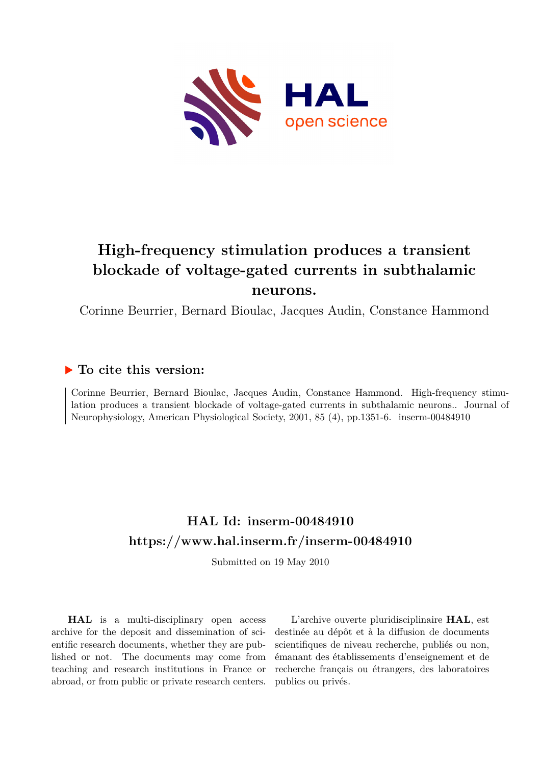

# **High-frequency stimulation produces a transient blockade of voltage-gated currents in subthalamic neurons.**

Corinne Beurrier, Bernard Bioulac, Jacques Audin, Constance Hammond

### **To cite this version:**

Corinne Beurrier, Bernard Bioulac, Jacques Audin, Constance Hammond. High-frequency stimulation produces a transient blockade of voltage-gated currents in subthalamic neurons.. Journal of Neurophysiology, American Physiological Society, 2001, 85 (4), pp.1351-6. inserm-00484910

## **HAL Id: inserm-00484910 <https://www.hal.inserm.fr/inserm-00484910>**

Submitted on 19 May 2010

**HAL** is a multi-disciplinary open access archive for the deposit and dissemination of scientific research documents, whether they are published or not. The documents may come from teaching and research institutions in France or abroad, or from public or private research centers.

L'archive ouverte pluridisciplinaire **HAL**, est destinée au dépôt et à la diffusion de documents scientifiques de niveau recherche, publiés ou non, émanant des établissements d'enseignement et de recherche français ou étrangers, des laboratoires publics ou privés.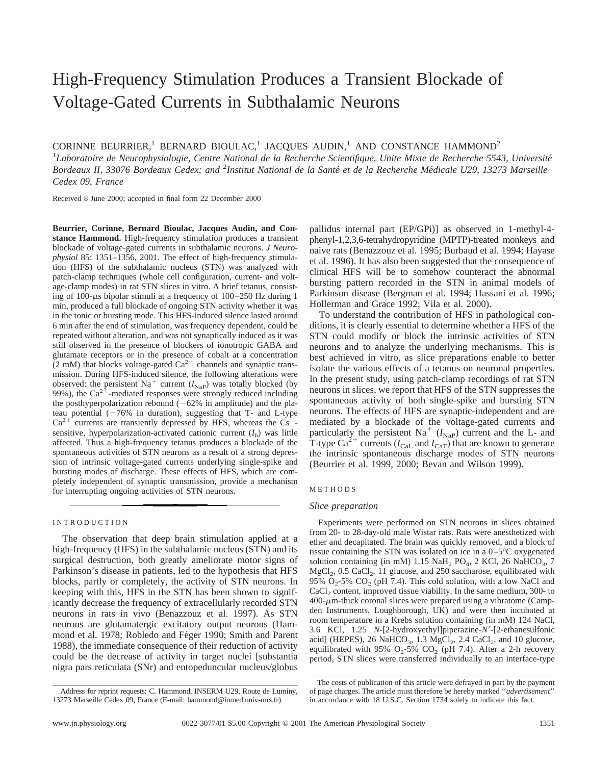# High-Frequency Stimulation Produces a Transient Blockade of Voltage-Gated Currents in Subthalamic Neurons

CORINNE BEURRIER,<sup>1</sup> BERNARD BIOULAC,<sup>1</sup> JACOUES AUDIN,<sup>1</sup> AND CONSTANCE HAMMOND<sup>2</sup>

<sup>1</sup>Laboratoire de Neurophysiologie, Centre National de la Recherche Scientifique, Unite Mixte de Recherche 5543, Université Bordeaux II, 33076 Bordeaux Cedex; and <sup>2</sup>Institut National de la Santé et de la Recherche Médicale U29, 13273 Marseille *Cedex 09, France*

Received 8 June 2000; accepted in final form 22 December 2000

**Beurrier, Corinne, Bernard Bioulac, Jacques Audin, and Constance Hammond.** High-frequency stimulation produces a transient blockade of voltage-gated currents in subthalamic neurons. *J Neurophysiol* 85: 1351–1356, 2001. The effect of high-frequency stimulation (HFS) of the subthalamic nucleus (STN) was analyzed with patch-clamp techniques (whole cell configuration, current- and voltage-clamp modes) in rat STN slices in vitro. A brief tetanus, consisting of 100- $\mu$ s bipolar stimuli at a frequency of 100–250 Hz during 1 min, produced a full blockade of ongoing STN activity whether it was in the tonic or bursting mode. This HFS-induced silence lasted around 6 min after the end of stimulation, was frequency dependent, could be repeated without alteration, and was not synaptically induced as it was still observed in the presence of blockers of ionotropic GABA and glutamate receptors or in the presence of cobalt at a concentration  $(2 \text{ mM})$  that blocks voltage-gated  $\text{Ca}^{2+}$  channels and synaptic transmission. During HFS-induced silence, the following alterations were observed: the persistent Na<sup>+</sup> current  $(I_{\text{Nap}})$  was totally blocked (by 99%), the  $Ca^{2+}$ -mediated responses were strongly reduced including the posthyperpolarization rebound  $(-62\%$  in amplitude) and the plateau potential  $(-76\%$  in duration), suggesting that T- and L-type  $Ca^{2+}$  currents are transiently depressed by HFS, whereas the  $Cs^+$ sensitive, hyperpolarization-activated cationic current  $(I<sub>h</sub>)$  was little affected. Thus a high-frequency tetanus produces a blockade of the spontaneous activities of STN neurons as a result of a strong depression of intrinsic voltage-gated currents underlying single-spike and bursting modes of discharge. These effects of HFS, which are completely independent of synaptic transmission, provide a mechanism for interrupting ongoing activities of STN neurons.

#### INTRODUCTION

The observation that deep brain stimulation applied at a high-frequency (HFS) in the subthalamic nucleus (STN) and its surgical destruction, both greatly ameliorate motor signs of Parkinson's disease in patients, led to the hypothesis that HFS blocks, partly or completely, the activity of STN neurons. In keeping with this, HFS in the STN has been shown to significantly decrease the frequency of extracellularly recorded STN neurons in rats in vivo (Benazzouz et al. 1997). As STN neurons are glutamatergic excitatory output neurons (Hammond et al. 1978; Robledo and Féger 1990; Smith and Parent 1988), the immediate consequence of their reduction of activity could be the decrease of activity in target nuclei [substantia nigra pars reticulata (SNr) and entopeduncular nucleus/globus pallidus internal part (EP/GPi)] as observed in 1-methyl-4 phenyl-1,2,3,6-tetrahydropyridine (MPTP)-treated monkeys and naive rats (Benazzouz et al. 1995; Burbaud et al. 1994; Hayase et al. 1996). It has also been suggested that the consequence of clinical HFS will be to somehow counteract the abnormal bursting pattern recorded in the STN in animal models of Parkinson disease (Bergman et al. 1994; Hassani et al. 1996; Hollerman and Grace 1992; Vila et al. 2000).

To understand the contribution of HFS in pathological conditions, it is clearly essential to determine whether a HFS of the STN could modify or block the intrinsic activities of STN neurons and to analyze the underlying mechanisms. This is best achieved in vitro, as slice preparations enable to better isolate the various effects of a tetanus on neuronal properties. In the present study, using patch-clamp recordings of rat STN neurons in slices, we report that HFS of the STN suppresses the spontaneous activity of both single-spike and bursting STN neurons. The effects of HFS are synaptic-independent and are mediated by a blockade of the voltage-gated currents and particularly the persistent Na<sup>+</sup>  $(I_{\text{NaP}})$  current and the L- and T-type Ca<sup>2+</sup> currents ( $I_{\text{Cal}}$  and  $I_{\text{CaT}}$ ) that are known to generate the intrinsic spontaneous discharge modes of STN neurons (Beurrier et al. 1999, 2000; Bevan and Wilson 1999).

#### METHODS

#### *Slice preparation*

Experiments were performed on STN neurons in slices obtained from 20- to 28-day-old male Wistar rats. Rats were anesthetized with ether and decapitated. The brain was quickly removed, and a block of tissue containing the STN was isolated on ice in a 0–5°C oxygenated solution containing (in mM) 1.15 NaH<sub>2</sub> PO<sub>4</sub>, 2 KCl, 26 NaHCO<sub>3</sub>, 7  $MgCl<sub>2</sub>$ , 0.5 CaCl<sub>2</sub>, 11 glucose, and 250 saccharose, equilibrated with 95%  $O_2$ -5%  $CO_2$  (pH 7.4). This cold solution, with a low NaCl and CaCl<sub>2</sub> content, improved tissue viability. In the same medium, 300- to  $400$ - $\mu$ m-thick coronal slices were prepared using a vibratome (Campden Instruments, Loughborough, UK) and were then incubated at room temperature in a Krebs solution containing (in mM) 124 NaCl, 3.6 KCl, 1.25 *N*-[2-hydroxyethyl]piperazine-*N'*-[2-ethanesulfonic acid] (HEPES), 26 NaHCO<sub>3</sub>, 1.3 MgCl<sub>2</sub>, 2.4 CaCl<sub>2</sub>, and 10 glucose, equilibrated with 95%  $O_2$ -5%  $CO_2$  (pH 7.4). After a 2-h recovery period, STN slices were transferred individually to an interface-type

Address for reprint requests: C. Hammond, INSERM U29, Route de Luminy, 13273 Marseille Cedex 09, France (E-mail: hammond@inmed.univ-mrs.fr).

The costs of publication of this article were defrayed in part by the payment of page charges. The article must therefore be hereby marked ''*advertisement*'' in accordance with 18 U.S.C. Section 1734 solely to indicate this fact.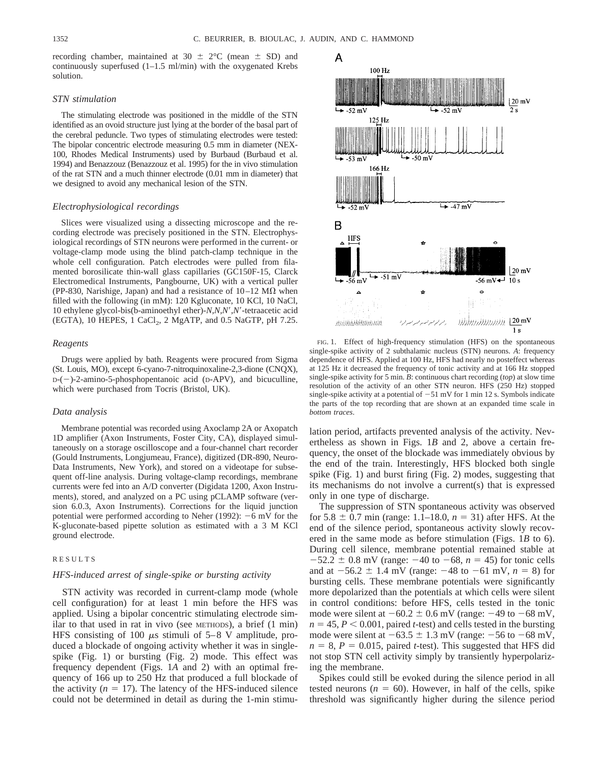recording chamber, maintained at 30  $\pm$  2°C (mean  $\pm$  SD) and continuously superfused (1–1.5 ml/min) with the oxygenated Krebs solution.

#### *STN stimulation*

The stimulating electrode was positioned in the middle of the STN identified as an ovoid structure just lying at the border of the basal part of the cerebral peduncle. Two types of stimulating electrodes were tested: The bipolar concentric electrode measuring 0.5 mm in diameter (NEX-100, Rhodes Medical Instruments) used by Burbaud (Burbaud et al. 1994) and Benazzouz (Benazzouz et al. 1995) for the in vivo stimulation of the rat STN and a much thinner electrode (0.01 mm in diameter) that we designed to avoid any mechanical lesion of the STN.

#### *Electrophysiological recordings*

Slices were visualized using a dissecting microscope and the recording electrode was precisely positioned in the STN. Electrophysiological recordings of STN neurons were performed in the current- or voltage-clamp mode using the blind patch-clamp technique in the whole cell configuration. Patch electrodes were pulled from filamented borosilicate thin-wall glass capillaries (GC150F-15, Clarck Electromedical Instruments, Pangbourne, UK) with a vertical puller (PP-830, Narishige, Japan) and had a resistance of  $10-12 \text{ M}\Omega$  when filled with the following (in mM): 120 Kgluconate, 10 KCl, 10 NaCl, 10 ethylene glycol-bis(b-aminoethyl ether)-*N,N,N'*,*N'*-tetraacetic acid (EGTA), 10 HEPES, 1 CaCl<sub>2</sub>, 2 MgATP, and 0.5 NaGTP, pH 7.25.

#### *Reagents*

Drugs were applied by bath. Reagents were procured from Sigma (St. Louis, MO), except 6-cyano-7-nitroquinoxaline-2,3-dione (CNQX),  $D-(-)$ -2-amino-5-phosphopentanoic acid ( $D-APV$ ), and bicuculline, which were purchased from Tocris (Bristol, UK).

#### *Data analysis*

Membrane potential was recorded using Axoclamp 2A or Axopatch 1D amplifier (Axon Instruments, Foster City, CA), displayed simultaneously on a storage oscilloscope and a four-channel chart recorder (Gould Instruments, Longjumeau, France), digitized (DR-890, Neuro-Data Instruments, New York), and stored on a videotape for subsequent off-line analysis. During voltage-clamp recordings, membrane currents were fed into an A/D converter (Digidata 1200, Axon Instruments), stored, and analyzed on a PC using pCLAMP software (version 6.0.3, Axon Instruments). Corrections for the liquid junction potential were performed according to Neher (1992):  $-6$  mV for the K-gluconate-based pipette solution as estimated with a 3 M KCl ground electrode.

#### RESULTS

#### *HFS-induced arrest of single-spike or bursting activity*

STN activity was recorded in current-clamp mode (whole cell configuration) for at least 1 min before the HFS was applied. Using a bipolar concentric stimulating electrode similar to that used in rat in vivo (see METHODS), a brief (1 min) HFS consisting of 100  $\mu$ s stimuli of 5–8 V amplitude, produced a blockade of ongoing activity whether it was in singlespike (Fig. 1) or bursting (Fig. 2) mode. This effect was frequency dependent (Figs. 1*A* and 2) with an optimal frequency of 166 up to 250 Hz that produced a full blockade of the activity  $(n = 17)$ . The latency of the HFS-induced silence could not be determined in detail as during the 1-min stimu-



FIG. 1. Effect of high-frequency stimulation (HFS) on the spontaneous single-spike activity of 2 subthalamic nucleus (STN) neurons. *A*: frequency dependence of HFS. Applied at 100 Hz, HFS had nearly no posteffect whereas at 125 Hz it decreased the frequency of tonic activity and at 166 Hz stopped single-spike activity for 5 min. *B*: continuous chart recording (*top*) at slow time resolution of the activity of an other STN neuron. HFS (250 Hz) stopped single-spike activity at a potential of  $-51$  mV for 1 min 12 s. Symbols indicate the parts of the top recording that are shown at an expanded time scale in *bottom traces*.

lation period, artifacts prevented analysis of the activity. Nevertheless as shown in Figs. 1*B* and 2, above a certain frequency, the onset of the blockade was immediately obvious by the end of the train. Interestingly, HFS blocked both single spike (Fig. 1) and burst firing (Fig. 2) modes, suggesting that its mechanisms do not involve a current(s) that is expressed only in one type of discharge.

The suppression of STN spontaneous activity was observed for  $5.8 \pm 0.7$  min (range: 1.1–18.0,  $n = 31$ ) after HFS. At the end of the silence period, spontaneous activity slowly recovered in the same mode as before stimulation (Figs. 1*B* to 6). During cell silence, membrane potential remained stable at  $-52.2 \pm 0.8$  mV (range:  $-40$  to  $-68$ ,  $n = 45$ ) for tonic cells and at  $-56.2 \pm 1.4$  mV (range:  $-48$  to  $-61$  mV,  $n = 8$ ) for bursting cells. These membrane potentials were significantly more depolarized than the potentials at which cells were silent in control conditions: before HFS, cells tested in the tonic mode were silent at  $-60.2 \pm 0.6$  mV (range:  $-49$  to  $-68$  mV,  $n = 45, P < 0.001$ , paired *t*-test) and cells tested in the bursting mode were silent at  $-63.5 \pm 1.3$  mV (range:  $-56$  to  $-68$  mV,  $n = 8$ ,  $P = 0.015$ , paired *t*-test). This suggested that HFS did not stop STN cell activity simply by transiently hyperpolarizing the membrane.

Spikes could still be evoked during the silence period in all tested neurons ( $n = 60$ ). However, in half of the cells, spike threshold was significantly higher during the silence period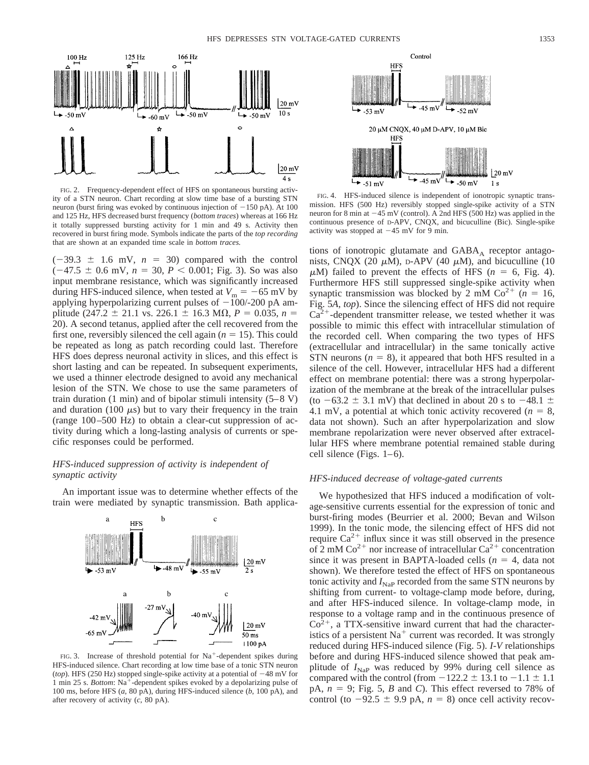

FIG. 2. Frequency-dependent effect of HFS on spontaneous bursting activity of a STN neuron. Chart recording at slow time base of a bursting STN neuron (burst firing was evoked by continuous injection of  $-150$  pA). At 100 and 125 Hz, HFS decreased burst frequency (*bottom traces*) whereas at 166 Hz it totally suppressed bursting activity for 1 min and 49 s. Activity then recovered in burst firing mode. Symbols indicate the parts of the *top recording* that are shown at an expanded time scale in *bottom traces.*

 $(-39.3 \pm 1.6 \text{ mV}, n = 30)$  compared with the control  $(-47.5 \pm 0.6 \text{ mV}, n = 30, P < 0.001; \text{Fig. 3}).$  So was also input membrane resistance, which was significantly increased during HFS-induced silence, when tested at  $V_m = -65$  mV by applying hyperpolarizing current pulses of  $-100/-200$  pA amplitude (247.2  $\pm$  21.1 vs. 226.1  $\pm$  16.3 M $\Omega$ , *P* = 0.035, *n* = 20). A second tetanus, applied after the cell recovered from the first one, reversibly silenced the cell again  $(n = 15)$ . This could be repeated as long as patch recording could last. Therefore HFS does depress neuronal activity in slices, and this effect is short lasting and can be repeated. In subsequent experiments, we used a thinner electrode designed to avoid any mechanical lesion of the STN. We chose to use the same parameters of train duration (1 min) and of bipolar stimuli intensity (5–8 V) and duration (100  $\mu$ s) but to vary their frequency in the train (range 100–500 Hz) to obtain a clear-cut suppression of activity during which a long-lasting analysis of currents or specific responses could be performed.

#### *HFS-induced suppression of activity is independent of synaptic activity*

An important issue was to determine whether effects of the train were mediated by synaptic transmission. Bath applica-



FIG. 3. Increase of threshold potential for  $Na^+$ -dependent spikes during HFS-induced silence. Chart recording at low time base of a tonic STN neuron (*top*). HFS (250 Hz) stopped single-spike activity at a potential of  $-48 \text{ mV}$  for 1 min 25 s. *Bottom*: Na<sup>+</sup>-dependent spikes evoked by a depolarizing pulse of 100 ms, before HFS (*a*, 80 pA), during HFS-induced silence (*b*, 100 pA), and after recovery of activity (*c*, 80 pA).



FIG. 4. HFS-induced silence is independent of ionotropic synaptic transmission. HFS (500 Hz) reversibly stopped single-spike activity of a STN neuron for 8 min at  $-45$  mV (control). A 2nd HFS (500 Hz) was applied in the continuous presence of D-APV, CNQX, and bicuculline (Bic). Single-spike activity was stopped at  $-45$  mV for 9 min.

tions of ionotropic glutamate and  $GABA_A$  receptor antagonists, CNQX (20  $\mu$ M), D-APV (40  $\mu$ M), and bicuculline (10  $\mu$ M) failed to prevent the effects of HFS ( $n = 6$ , Fig. 4). Furthermore HFS still suppressed single-spike activity when synaptic transmission was blocked by 2 mM  $Co^{2+}$  ( $n = 16$ , Fig. 5*A, top*). Since the silencing effect of HFS did not require  $Ca^{2+}$ -dependent transmitter release, we tested whether it was possible to mimic this effect with intracellular stimulation of the recorded cell. When comparing the two types of HFS (extracellular and intracellular) in the same tonically active STN neurons  $(n = 8)$ , it appeared that both HFS resulted in a silence of the cell. However, intracellular HFS had a different effect on membrane potential: there was a strong hyperpolarization of the membrane at the break of the intracellular pulses (to  $-63.2 \pm 3.1$  mV) that declined in about 20 s to  $-48.1 \pm 1.6$ 4.1 mV, a potential at which tonic activity recovered  $(n = 8,$ data not shown). Such an after hyperpolarization and slow membrane repolarization were never observed after extracellular HFS where membrane potential remained stable during cell silence (Figs. 1–6).

#### *HFS-induced decrease of voltage-gated currents*

We hypothesized that HFS induced a modification of voltage-sensitive currents essential for the expression of tonic and burst-firing modes (Beurrier et al. 2000; Bevan and Wilson 1999). In the tonic mode, the silencing effect of HFS did not require  $Ca^{2+}$  influx since it was still observed in the presence of  $2 \text{ mM } \text{Co}^{2+}$  nor increase of intracellular  $\text{Ca}^{2+}$  concentration since it was present in BAPTA-loaded cells  $(n = 4)$ , data not shown). We therefore tested the effect of HFS on spontaneous tonic activity and  $I_{\text{NaP}}$  recorded from the same STN neurons by shifting from current- to voltage-clamp mode before, during, and after HFS-induced silence. In voltage-clamp mode, in response to a voltage ramp and in the continuous presence of  $Co<sup>2+</sup>$ , a TTX-sensitive inward current that had the characteristics of a persistent  $Na<sup>+</sup>$  current was recorded. It was strongly reduced during HFS-induced silence (Fig. 5). *I-V* relationships before and during HFS-induced silence showed that peak amplitude of  $I_{Nap}$  was reduced by 99% during cell silence as compared with the control (from  $-122.2 \pm 13.1$  to  $-1.1 \pm 1.1$ pA,  $n = 9$ ; Fig. 5, *B* and *C*). This effect reversed to 78% of control (to  $-92.5 \pm 9.9$  pA,  $n = 8$ ) once cell activity recov-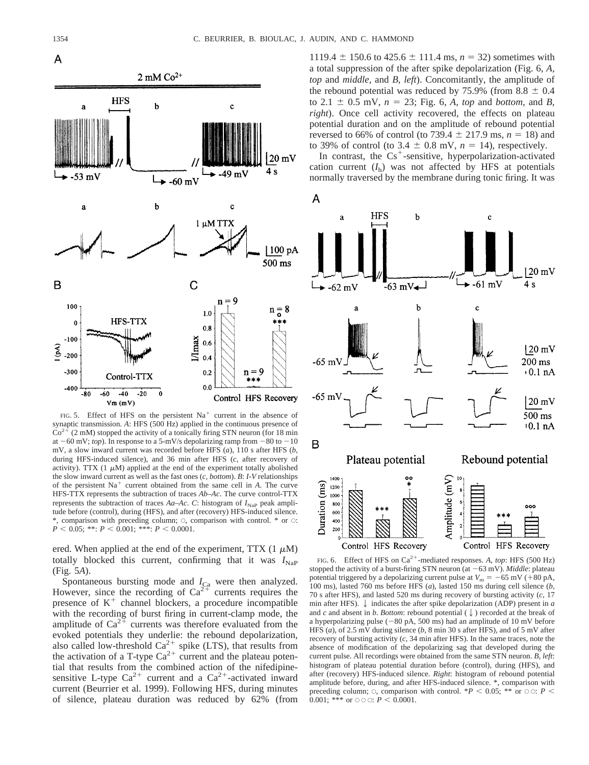

FIG. 5. Effect of HFS on the persistent  $Na<sup>+</sup>$  current in the absence of synaptic transmission. *A*: HFS (500 Hz) applied in the continuous presence of  $Co<sup>2+</sup>$  (2 mM) stopped the activity of a tonically firing STN neuron (for 18 min at  $-60$  mV; *top*). In response to a 5-mV/s depolarizing ramp from  $-80$  to  $-10$ mV, a slow inward current was recorded before HFS (*a*), 110 s after HFS (*b*, during HFS-induced silence), and 36 min after HFS (*c*, after recovery of activity). TTX  $(1 \mu M)$  applied at the end of the experiment totally abolished the slow inward current as well as the fast ones (*c, bottom*). *B*: *I-V* relationships of the persistent  $Na<sup>+</sup>$  current obtained from the same cell in *A*. The curve HFS-TTX represents the subtraction of traces *Ab–Ac*. The curve control-TTX represents the subtraction of traces  $Aa$ – $Ac$ . *C*: histogram of  $I_{Nap}$  peak amplitude before (control), during (HFS), and after (recovery) HFS-induced silence.  $*$ , comparison with preceding column;  $\circ$ , comparison with control.  $*$  or  $\circ$ :  $P < 0.05$ ; \*\*:  $P < 0.001$ ; \*\*\*:  $P < 0.0001$ .

ered. When applied at the end of the experiment, TTX  $(1 \mu M)$ totally blocked this current, confirming that it was  $I_{\text{NaP}}$ (Fig. 5*A*).

Spontaneous bursting mode and  $I_{\text{Ca}}$  were then analyzed. However, since the recording of  $Ca^{2+}$  currents requires the presence of  $K^+$  channel blockers, a procedure incompatible with the recording of burst firing in current-clamp mode, the amplitude of  $Ca^{2+}$  currents was therefore evaluated from the evoked potentials they underlie: the rebound depolarization, also called low-threshold  $Ca^{2+}$  spike (LTS), that results from the activation of a T-type  $Ca^{2+}$  current and the plateau potential that results from the combined action of the nifedipinesensitive L-type  $Ca^{2+}$  current and a  $Ca^{2+}$ -activated inward current (Beurrier et al. 1999). Following HFS, during minutes of silence, plateau duration was reduced by 62% (from 1119.4  $\pm$  150.6 to 425.6  $\pm$  111.4 ms, *n* = 32) sometimes with a total suppression of the after spike depolarization (Fig. 6, *A, top* and *middle,* and *B, left*). Concomitantly, the amplitude of the rebound potential was reduced by 75.9% (from  $8.8 \pm 0.4$ to 2.1  $\pm$  0.5 mV,  $n = 23$ ; Fig. 6, *A, top* and *bottom*, and *B*, *right*). Once cell activity recovered, the effects on plateau potential duration and on the amplitude of rebound potential reversed to 66% of control (to 739.4  $\pm$  217.9 ms, *n* = 18) and to 39% of control (to 3.4  $\pm$  0.8 mV,  $n = 14$ ), respectively.

In contrast, the  $Cs^+$ -sensitive, hyperpolarization-activated cation current  $(I_h)$  was not affected by HFS at potentials normally traversed by the membrane during tonic firing. It was



FIG. 6. Effect of HFS on Ca<sup>2+</sup>-mediated responses. A, top: HFS (500 Hz) stopped the activity of a burst-firing STN neuron (at  $-63$  mV). *Middle*: plateau potential triggered by a depolarizing current pulse at  $V_m = -65$  mV ( $+80$  pA, 100 ms), lasted 760 ms before HFS (*a*), lasted 150 ms during cell silence (*b*, 70 s after HFS), and lasted 520 ms during recovery of bursting activity (*c*, 17 min after HFS).  $\downarrow$  indicates the after spike depolarization (ADP) present in *a* and *c* and absent in *b*. *Bottom*: rebound potential  $(\downarrow)$  recorded at the break of a hyperpolarizing pulse  $(-80 \text{ pA}, 500 \text{ ms})$  had an amplitude of 10 mV before HFS (*a*), of 2.5 mV during silence (*b*, 8 min 30 s after HFS), and of 5 mV after recovery of bursting activity (*c*, 34 min after HFS). In the same traces, note the absence of modification of the depolarizing sag that developed during the current pulse. All recordings were obtained from the same STN neuron. *B, left*: histogram of plateau potential duration before (control), during (HFS), and after (recovery) HFS-induced silence. *Right*: histogram of rebound potential amplitude before, during, and after HFS-induced silence. \*, comparison with preceding column;  $\circ$ , comparison with control. \**P* < 0.05; \*\* or  $\circ$   $\circ$ : *P* < 0.001; \*\*\* or  $\circ \circ \circ : P \leq 0.0001$ .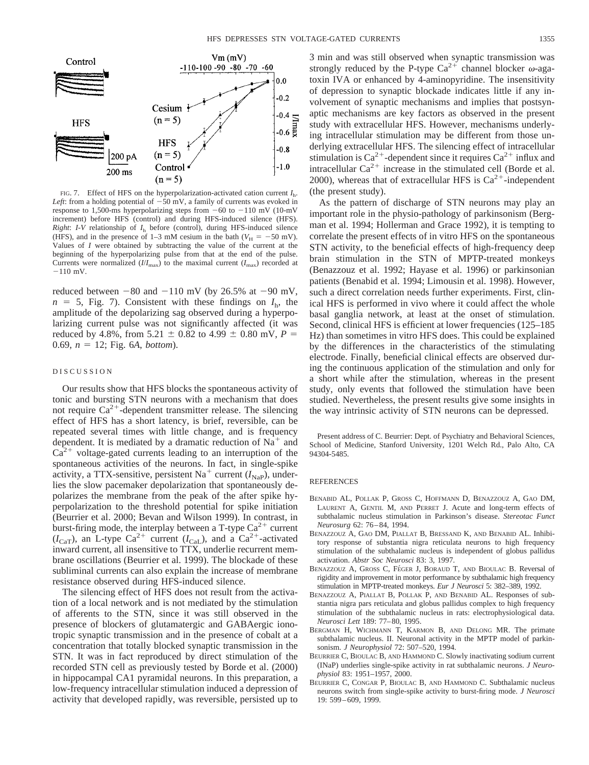

FIG. 7. Effect of HFS on the hyperpolarization-activated cation current *I*h. *Left*: from a holding potential of  $-50$  mV, a family of currents was evoked in response to 1,500-ms hyperpolarizing steps from  $-60$  to  $-110$  mV (10-mV increment) before HFS (control) and during HFS-induced silence (HFS). *Right*: *I-V* relationship of  $I<sub>h</sub>$  before (control), during HFS-induced silence (HFS), and in the presence of 1–3 mM cesium in the bath ( $V_H = -50$  mV). Values of *I* were obtained by subtracting the value of the current at the beginning of the hyperpolarizing pulse from that at the end of the pulse. Currents were normalized  $(I/I_{\text{max}})$  to the maximal current  $(I_{\text{max}})$  recorded at  $-110$  mV.

reduced between  $-80$  and  $-110$  mV (by 26.5% at  $-90$  mV,  $n = 5$ , Fig. 7). Consistent with these findings on  $I<sub>b</sub>$ , the amplitude of the depolarizing sag observed during a hyperpolarizing current pulse was not significantly affected (it was reduced by 4.8%, from 5.21  $\pm$  0.82 to 4.99  $\pm$  0.80 mV, *P* = 0.69,  $n = 12$ ; Fig. 6*A*, *bottom*).

#### DISCUSSION

Our results show that HFS blocks the spontaneous activity of tonic and bursting STN neurons with a mechanism that does not require  $Ca^{2+}$ -dependent transmitter release. The silencing effect of HFS has a short latency, is brief, reversible, can be repeated several times with little change, and is frequency dependent. It is mediated by a dramatic reduction of  $Na<sup>+</sup>$  and  $Ca<sup>2+</sup>$  voltage-gated currents leading to an interruption of the spontaneous activities of the neurons. In fact, in single-spike activity, a TTX-sensitive, persistent Na<sup>+</sup> current  $(I_{\text{NaP}})$ , underlies the slow pacemaker depolarization that spontaneously depolarizes the membrane from the peak of the after spike hyperpolarization to the threshold potential for spike initiation (Beurrier et al. 2000; Bevan and Wilson 1999). In contrast, in burst-firing mode, the interplay between a T-type  $Ca^{2+}$  current  $(I_{\text{CaT}})$ , an L-type Ca<sup>2+</sup> current  $(I_{\text{CaL}})$ , and a Ca<sup>2+</sup>-activated inward current, all insensitive to TTX, underlie recurrent membrane oscillations (Beurrier et al. 1999). The blockade of these subliminal currents can also explain the increase of membrane resistance observed during HFS-induced silence.

The silencing effect of HFS does not result from the activation of a local network and is not mediated by the stimulation of afferents to the STN, since it was still observed in the presence of blockers of glutamatergic and GABAergic ionotropic synaptic transmission and in the presence of cobalt at a concentration that totally blocked synaptic transmission in the STN. It was in fact reproduced by direct stimulation of the recorded STN cell as previously tested by Borde et al. (2000) in hippocampal CA1 pyramidal neurons. In this preparation, a low-frequency intracellular stimulation induced a depression of activity that developed rapidly, was reversible, persisted up to 3 min and was still observed when synaptic transmission was strongly reduced by the P-type  $Ca^{2+}$  channel blocker  $\omega$ -agatoxin IVA or enhanced by 4-aminopyridine. The insensitivity of depression to synaptic blockade indicates little if any involvement of synaptic mechanisms and implies that postsynaptic mechanisms are key factors as observed in the present study with extracellular HFS. However, mechanisms underlying intracellular stimulation may be different from those underlying extracellular HFS. The silencing effect of intracellular stimulation is  $Ca^{2+}$ -dependent since it requires  $Ca^{2+}$  influx and intracellular  $Ca^{2+}$  increase in the stimulated cell (Borde et al. 2000), whereas that of extracellular HFS is  $Ca^{2+}$ -independent (the present study).

As the pattern of discharge of STN neurons may play an important role in the physio-pathology of parkinsonism (Bergman et al. 1994; Hollerman and Grace 1992), it is tempting to correlate the present effects of in vitro HFS on the spontaneous STN activity, to the beneficial effects of high-frequency deep brain stimulation in the STN of MPTP-treated monkeys (Benazzouz et al. 1992; Hayase et al. 1996) or parkinsonian patients (Benabid et al. 1994; Limousin et al. 1998). However, such a direct correlation needs further experiments. First, clinical HFS is performed in vivo where it could affect the whole basal ganglia network, at least at the onset of stimulation. Second, clinical HFS is efficient at lower frequencies (125–185 Hz) than sometimes in vitro HFS does. This could be explained by the differences in the characteristics of the stimulating electrode. Finally, beneficial clinical effects are observed during the continuous application of the stimulation and only for a short while after the stimulation, whereas in the present study, only events that followed the stimulation have been studied. Nevertheless, the present results give some insights in the way intrinsic activity of STN neurons can be depressed.

Present address of C. Beurrier: Dept. of Psychiatry and Behavioral Sciences, School of Medicine, Stanford University, 1201 Welch Rd., Palo Alto, CA 94304-5485.

#### **REFERENCES**

- BENABID AL, POLLAK P, GROSS C, HOFFMANN D, BENAZZOUZ A, GAO DM, LAURENT A, GENTIL M, AND PERRET J. Acute and long-term effects of subthalamic nucleus stimulation in Parkinson's disease. *Stereotac Funct Neurosurg* 62: 76–84, 1994.
- BENAZZOUZ A, GAO DM, PIALLAT B, BRESSAND K, AND BENABID AL. Inhibitory response of substantia nigra reticulata neurons to high frequency stimulation of the subthalamic nucleus is independent of globus pallidus activation. *Abstr Soc Neurosci* 83: 3, 1997.
- BENAZZOUZ A, GROSS C, FÉGER J, BORAUD T, AND BIOULAC B. Reversal of rigidity and improvement in motor performance by subthalamic high frequency stimulation in MPTP-treated monkeys. *Eur J Neurosci* 5: 382–389, 1992.
- BENAZZOUZ A, PIALLAT B, POLLAK P, AND BENABID AL. Responses of substantia nigra pars reticulata and globus pallidus complex to high frequency stimulation of the subthalamic nucleus in rats: electrophysiological data. *Neurosci Lett* 189: 77–80, 1995.
- BERGMAN H, WICHMANN T, KARMON B, AND DELONG MR. The primate subthalamic nucleus. II. Neuronal activity in the MPTP model of parkinsonism. *J Neurophysiol* 72: 507–520, 1994.
- BEURRIER C, BIOULAC B, AND HAMMOND C. Slowly inactivating sodium current (INaP) underlies single-spike activity in rat subthalamic neurons. *J Neurophysiol* 83: 1951–1957, 2000.
- BEURRIER C, CONGAR P, BIOULAC B, AND HAMMOND C. Subthalamic nucleus neurons switch from single-spike activity to burst-firing mode. *J Neurosci* 19: 599–609, 1999.